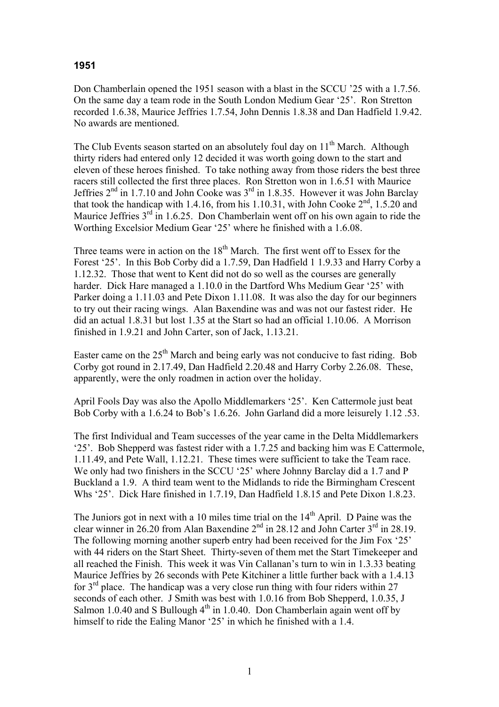## **1951**

Don Chamberlain opened the 1951 season with a blast in the SCCU '25 with a 1.7.56. On the same day a team rode in the South London Medium Gear '25'. Ron Stretton recorded 1.6.38, Maurice Jeffries 1.7.54, John Dennis 1.8.38 and Dan Hadfield 1.9.42. No awards are mentioned.

The Club Events season started on an absolutely foul day on  $11<sup>th</sup>$  March. Although thirty riders had entered only 12 decided it was worth going down to the start and eleven of these heroes finished. To take nothing away from those riders the best three racers still collected the first three places. Ron Stretton won in 1.6.51 with Maurice Jeffries 2nd in 1.7.10 and John Cooke was 3rd in 1.8.35. However it was John Barclay that took the handicap with 1.4.16, from his 1.10.31, with John Cooke  $2<sup>nd</sup>$ , 1.5.20 and Maurice Jeffries  $3<sup>rd</sup>$  in 1.6.25. Don Chamberlain went off on his own again to ride the Worthing Excelsior Medium Gear '25' where he finished with a 1.6.08.

Three teams were in action on the 18<sup>th</sup> March. The first went off to Essex for the Forest '25'. In this Bob Corby did a 1.7.59, Dan Hadfield 1 1.9.33 and Harry Corby a 1.12.32. Those that went to Kent did not do so well as the courses are generally harder. Dick Hare managed a 1.10.0 in the Dartford Whs Medium Gear '25' with Parker doing a 1.11.03 and Pete Dixon 1.11.08. It was also the day for our beginners to try out their racing wings. Alan Baxendine was and was not our fastest rider. He did an actual 1.8.31 but lost 1.35 at the Start so had an official 1.10.06. A Morrison finished in 1.9.21 and John Carter, son of Jack, 1.13.21.

Easter came on the  $25<sup>th</sup>$  March and being early was not conducive to fast riding. Bob Corby got round in 2.17.49, Dan Hadfield 2.20.48 and Harry Corby 2.26.08. These, apparently, were the only roadmen in action over the holiday.

April Fools Day was also the Apollo Middlemarkers '25'. Ken Cattermole just beat Bob Corby with a 1.6.24 to Bob's 1.6.26. John Garland did a more leisurely 1.12 .53.

The first Individual and Team successes of the year came in the Delta Middlemarkers '25'. Bob Shepperd was fastest rider with a 1.7.25 and backing him was E Cattermole, 1.11.49, and Pete Wall, 1.12.21. These times were sufficient to take the Team race. We only had two finishers in the SCCU '25' where Johnny Barclay did a 1.7 and P Buckland a 1.9. A third team went to the Midlands to ride the Birmingham Crescent Whs '25'. Dick Hare finished in 1.7.19, Dan Hadfield 1.8.15 and Pete Dixon 1.8.23.

The Juniors got in next with a 10 miles time trial on the  $14<sup>th</sup>$  April. D Paine was the clear winner in 26.20 from Alan Baxendine  $2<sup>nd</sup>$  in 28.12 and John Carter  $3<sup>rd</sup>$  in 28.19. The following morning another superb entry had been received for the Jim Fox '25' with 44 riders on the Start Sheet. Thirty-seven of them met the Start Timekeeper and all reached the Finish. This week it was Vin Callanan's turn to win in 1.3.33 beating Maurice Jeffries by 26 seconds with Pete Kitchiner a little further back with a 1.4.13 for  $3<sup>rd</sup>$  place. The handicap was a very close run thing with four riders within 27 seconds of each other. J Smith was best with 1.0.16 from Bob Shepperd, 1.0.35, J Salmon 1.0.40 and S Bullough  $4<sup>th</sup>$  in 1.0.40. Don Chamberlain again went off by himself to ride the Ealing Manor '25' in which he finished with a 1.4.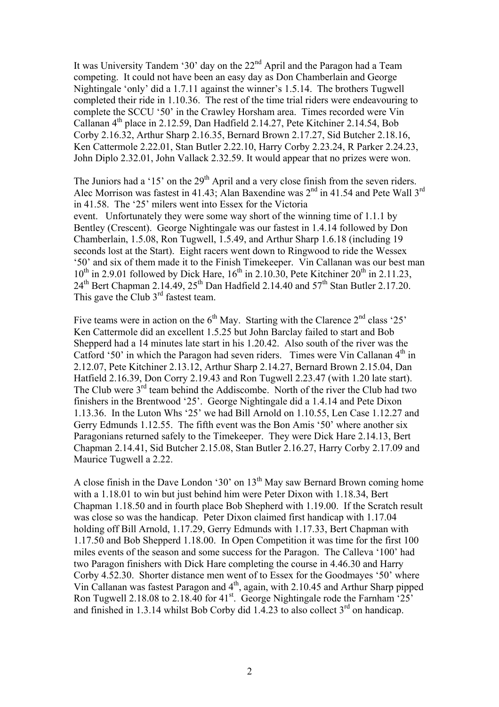It was University Tandem '30' day on the  $22<sup>nd</sup>$  April and the Paragon had a Team competing. It could not have been an easy day as Don Chamberlain and George Nightingale 'only' did a 1.7.11 against the winner's 1.5.14. The brothers Tugwell completed their ride in 1.10.36. The rest of the time trial riders were endeavouring to complete the SCCU '50' in the Crawley Horsham area. Times recorded were Vin Callanan  $4<sup>th</sup>$  place in 2.12.59, Dan Hadfield 2.14.27, Pete Kitchiner 2.14.54, Bob Corby 2.16.32, Arthur Sharp 2.16.35, Bernard Brown 2.17.27, Sid Butcher 2.18.16, Ken Cattermole 2.22.01, Stan Butler 2.22.10, Harry Corby 2.23.24, R Parker 2.24.23, John Diplo 2.32.01, John Vallack 2.32.59. It would appear that no prizes were won.

The Juniors had a '15' on the  $29<sup>th</sup>$  April and a very close finish from the seven riders. Alec Morrison was fastest in 41.43; Alan Baxendine was 2<sup>nd</sup> in 41.54 and Pete Wall 3<sup>rd</sup> in 41.58. The '25' milers went into Essex for the Victoria event. Unfortunately they were some way short of the winning time of 1.1.1 by Bentley (Crescent). George Nightingale was our fastest in 1.4.14 followed by Don Chamberlain, 1.5.08, Ron Tugwell, 1.5.49, and Arthur Sharp 1.6.18 (including 19 seconds lost at the Start). Eight racers went down to Ringwood to ride the Wessex '50' and six of them made it to the Finish Timekeeper. Vin Callanan was our best man  $10^{th}$  in 2.9.01 followed by Dick Hare,  $16^{th}$  in 2.10.30, Pete Kitchiner  $20^{th}$  in 2.11.23,  $24<sup>th</sup>$  Bert Chapman 2.14.49,  $25<sup>th</sup>$  Dan Hadfield 2.14.40 and  $57<sup>th</sup>$  Stan Butler 2.17.20. This gave the Club  $3<sup>rd</sup>$  fastest team.

Five teams were in action on the  $6<sup>th</sup>$  May. Starting with the Clarence  $2<sup>nd</sup>$  class '25' Ken Cattermole did an excellent 1.5.25 but John Barclay failed to start and Bob Shepperd had a 14 minutes late start in his 1.20.42. Also south of the river was the Catford '50' in which the Paragon had seven riders. Times were Vin Callanan  $4<sup>th</sup>$  in 2.12.07, Pete Kitchiner 2.13.12, Arthur Sharp 2.14.27, Bernard Brown 2.15.04, Dan Hatfield 2.16.39, Don Corry 2.19.43 and Ron Tugwell 2.23.47 (with 1.20 late start). The Club were  $3<sup>rd</sup>$  team behind the Addiscombe. North of the river the Club had two finishers in the Brentwood '25'. George Nightingale did a 1.4.14 and Pete Dixon 1.13.36. In the Luton Whs '25' we had Bill Arnold on 1.10.55, Len Case 1.12.27 and Gerry Edmunds 1.12.55. The fifth event was the Bon Amis '50' where another six Paragonians returned safely to the Timekeeper. They were Dick Hare 2.14.13, Bert Chapman 2.14.41, Sid Butcher 2.15.08, Stan Butler 2.16.27, Harry Corby 2.17.09 and Maurice Tugwell a 2.22.

A close finish in the Dave London '30' on  $13<sup>th</sup>$  May saw Bernard Brown coming home with a 1.18.01 to win but just behind him were Peter Dixon with 1.18.34, Bert Chapman 1.18.50 and in fourth place Bob Shepherd with 1.19.00. If the Scratch result was close so was the handicap. Peter Dixon claimed first handicap with 1.17.04 holding off Bill Arnold, 1.17.29, Gerry Edmunds with 1.17.33, Bert Chapman with 1.17.50 and Bob Shepperd 1.18.00. In Open Competition it was time for the first 100 miles events of the season and some success for the Paragon. The Calleva '100' had two Paragon finishers with Dick Hare completing the course in 4.46.30 and Harry Corby 4.52.30. Shorter distance men went of to Essex for the Goodmayes '50' where Vin Callanan was fastest Paragon and 4<sup>th</sup>, again, with 2.10.45 and Arthur Sharp pipped Ron Tugwell 2.18.08 to 2.18.40 for  $41^{st}$ . George Nightingale rode the Farnham '25' and finished in 1.3.14 whilst Bob Corby did 1.4.23 to also collect  $3<sup>rd</sup>$  on handicap.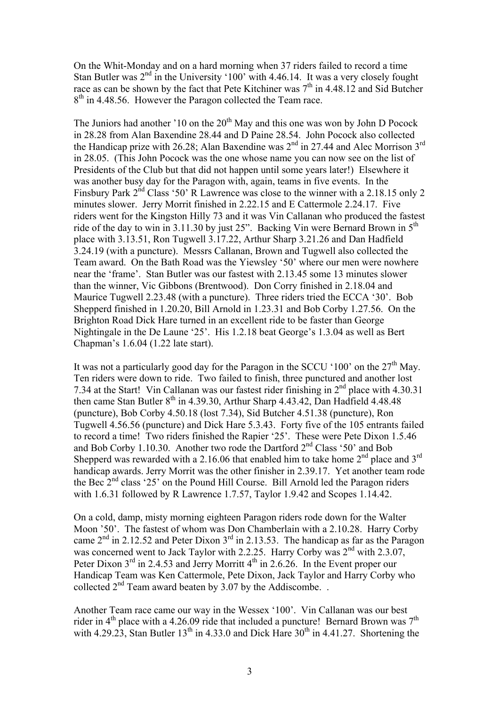On the Whit-Monday and on a hard morning when 37 riders failed to record a time Stan Butler was  $2<sup>nd</sup>$  in the University '100' with 4.46.14. It was a very closely fought race as can be shown by the fact that Pete Kitchiner was  $7<sup>th</sup>$  in 4.48.12 and Sid Butcher  $8<sup>th</sup>$  in 4.48.56. However the Paragon collected the Team race.

The Juniors had another '10 on the  $20<sup>th</sup>$  May and this one was won by John D Pocock in 28.28 from Alan Baxendine 28.44 and D Paine 28.54. John Pocock also collected the Handicap prize with 26.28; Alan Baxendine was  $2<sup>nd</sup>$  in 27.44 and Alec Morrison  $3<sup>rd</sup>$ in 28.05. (This John Pocock was the one whose name you can now see on the list of Presidents of the Club but that did not happen until some years later!) Elsewhere it was another busy day for the Paragon with, again, teams in five events. In the Finsbury Park 2<sup>nd</sup> Class '50' R Lawrence was close to the winner with a 2.18.15 only 2 minutes slower. Jerry Morrit finished in 2.22.15 and E Cattermole 2.24.17. Five riders went for the Kingston Hilly 73 and it was Vin Callanan who produced the fastest ride of the day to win in 3.11.30 by just 25". Backing Vin were Bernard Brown in  $5<sup>th</sup>$ place with 3.13.51, Ron Tugwell 3.17.22, Arthur Sharp 3.21.26 and Dan Hadfield 3.24.19 (with a puncture). Messrs Callanan, Brown and Tugwell also collected the Team award. On the Bath Road was the Yiewsley '50' where our men were nowhere near the 'frame'. Stan Butler was our fastest with 2.13.45 some 13 minutes slower than the winner, Vic Gibbons (Brentwood). Don Corry finished in 2.18.04 and Maurice Tugwell 2.23.48 (with a puncture). Three riders tried the ECCA '30'. Bob Shepperd finished in 1.20.20, Bill Arnold in 1.23.31 and Bob Corby 1.27.56. On the Brighton Road Dick Hare turned in an excellent ride to be faster than George Nightingale in the De Laune '25'. His 1.2.18 beat George's 1.3.04 as well as Bert Chapman's 1.6.04 (1.22 late start).

It was not a particularly good day for the Paragon in the SCCU '100' on the  $27<sup>th</sup>$  May. Ten riders were down to ride. Two failed to finish, three punctured and another lost 7.34 at the Start! Vin Callanan was our fastest rider finishing in  $2<sup>nd</sup>$  place with 4.30.31 then came Stan Butler  $8<sup>th</sup>$  in 4.39.30, Arthur Sharp 4.43.42, Dan Hadfield 4.48.48 (puncture), Bob Corby 4.50.18 (lost 7.34), Sid Butcher 4.51.38 (puncture), Ron Tugwell 4.56.56 (puncture) and Dick Hare 5.3.43. Forty five of the 105 entrants failed to record a time! Two riders finished the Rapier '25'. These were Pete Dixon 1.5.46 and Bob Corby 1.10.30. Another two rode the Dartford  $2<sup>nd</sup>$  Class '50' and Bob Shepperd was rewarded with a 2.16.06 that enabled him to take home  $2<sup>nd</sup>$  place and  $3<sup>rd</sup>$ handicap awards. Jerry Morrit was the other finisher in 2.39.17. Yet another team rode the Bec  $2<sup>nd</sup>$  class '25' on the Pound Hill Course. Bill Arnold led the Paragon riders with 1.6.31 followed by R Lawrence 1.7.57, Taylor 1.9.42 and Scopes 1.14.42.

On a cold, damp, misty morning eighteen Paragon riders rode down for the Walter Moon '50'. The fastest of whom was Don Chamberlain with a 2.10.28. Harry Corby came  $2<sup>nd</sup>$  in 2.12.52 and Peter Dixon  $3<sup>rd</sup>$  in 2.13.53. The handicap as far as the Paragon was concerned went to Jack Taylor with 2.2.25. Harry Corby was  $2<sup>nd</sup>$  with 2.3.07, Peter Dixon 3<sup>rd</sup> in 2.4.53 and Jerry Morritt 4<sup>th</sup> in 2.6.26. In the Event proper our Handicap Team was Ken Cattermole, Pete Dixon, Jack Taylor and Harry Corby who collected  $2<sup>nd</sup>$  Team award beaten by 3.07 by the Addiscombe.

Another Team race came our way in the Wessex '100'. Vin Callanan was our best rider in  $4<sup>th</sup>$  place with a 4.26.09 ride that included a puncture! Bernard Brown was  $7<sup>th</sup>$ with 4.29.23, Stan Butler  $13^{th}$  in 4.33.0 and Dick Hare  $30^{th}$  in 4.41.27. Shortening the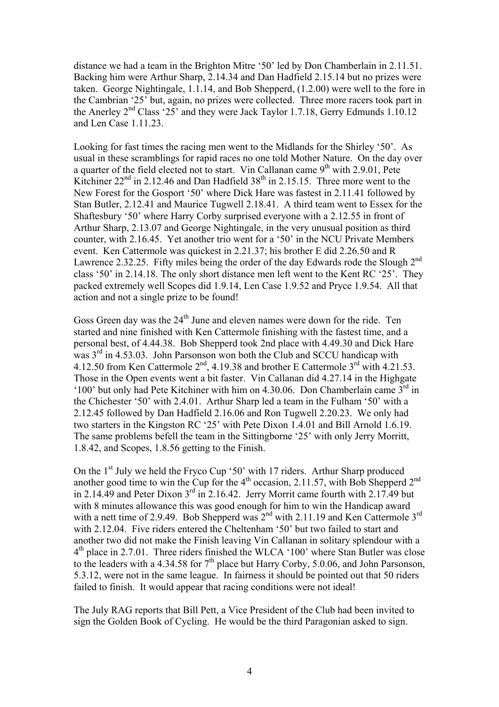distance we had a team in the Brighton Mitre '50' led by Don Chamberlain in 2.11.51. Backing him were Arthur Sharp, 2.14.34 and Dan Hadfield 2.15.14 but no prizes were taken. George Nightingale, 1.1.14, and Bob Shepperd, (1.2.00) were well to the fore in the Cambrian '25' but, again, no prizes were collected. Three more racers took part in the Anerley  $2<sup>nd</sup> Class '25'$  and they were Jack Taylor 1.7.18, Gerry Edmunds 1.10.12 and Len Case 1.11.23.

Looking for fast times the racing men went to the Midlands for the Shirley '50'. As usual in these scramblings for rapid races no one told Mother Nature. On the day over a quarter of the field elected not to start. Vin Callanan came  $9<sup>th</sup>$  with 2.9.01, Pete Kitchiner  $22<sup>nd</sup>$  in 2.12.46 and Dan Hadfield  $38<sup>th</sup>$  in 2.15.15. Three more went to the New Forest for the Gosport '50' where Dick Hare was fastest in 2.11.41 followed by Stan Butler, 2.12.41 and Maurice Tugwell 2.18.41. A third team went to Essex for the Shaftesbury '50' where Harry Corby surprised everyone with a 2.12.55 in front of Arthur Sharp, 2.13.07 and George Nightingale, in the very unusual position as third counter, with 2.16.45. Yet another trio went for a '50' in the NCU Private Members event. Ken Cattermole was quickest in 2.21.37; his brother E did 2.26.50 and R Lawrence 2.32.25. Fifty miles being the order of the day Edwards rode the Slough 2<sup>nd</sup> class '50' in 2.14.18. The only short distance men left went to the Kent RC '25'. They packed extremely well Scopes did 1.9.14, Len Case 1.9.52 and Pryce 1.9.54. All that action and not a single prize to be found!

Goss Green day was the  $24<sup>th</sup>$  June and eleven names were down for the ride. Ten started and nine finished with Ken Cattermole finishing with the fastest time, and a personal best, of 4.44.38. Bob Shepperd took 2nd place with 4.49.30 and Dick Hare was  $3<sup>rd</sup>$  in 4.53.03. John Parsonson won both the Club and SCCU handicap with 4.12.50 from Ken Cattermole  $2<sup>nd</sup>$ , 4.19.38 and brother E Cattermole  $3<sup>rd</sup>$  with 4.21.53. Those in the Open events went a bit faster. Vin Callanan did 4.27.14 in the Highgate '100' but only had Pete Kitchiner with him on 4.30.06. Don Chamberlain came  $3<sup>rd</sup>$  in the Chichester '50' with 2.4.01. Arthur Sharp led a team in the Fulham '50' with a 2.12.45 followed by Dan Hadfield 2.16.06 and Ron Tugwell 2.20.23. We only had two starters in the Kingston RC '25' with Pete Dixon 1.4.01 and Bill Arnold 1.6.19. The same problems befell the team in the Sittingborne '25' with only Jerry Morritt, 1.8.42, and Scopes, 1.8.56 getting to the Finish.

On the  $1<sup>st</sup>$  July we held the Fryco Cup '50' with 17 riders. Arthur Sharp produced another good time to win the Cup for the  $4<sup>th</sup>$  occasion, 2.11.57, with Bob Shepperd  $2<sup>nd</sup>$ in 2.14.49 and Peter Dixon  $3<sup>rd</sup>$  in 2.16.42. Jerry Morrit came fourth with 2.17.49 but with 8 minutes allowance this was good enough for him to win the Handicap award with a nett time of 2.9.49. Bob Shepperd was 2<sup>nd</sup> with 2.11.19 and Ken Cattermole 3<sup>rd</sup> with 2.12.04. Five riders entered the Cheltenham '50' but two failed to start and another two did not make the Finish leaving Vin Callanan in solitary splendour with a 4th place in 2.7.01. Three riders finished the WLCA '100' where Stan Butler was close to the leaders with a 4.34.58 for  $7<sup>th</sup>$  place but Harry Corby, 5.0.06, and John Parsonson, 5.3.12, were not in the same league. In fairness it should be pointed out that 50 riders failed to finish. It would appear that racing conditions were not ideal!

The July RAG reports that Bill Pett, a Vice President of the Club had been invited to sign the Golden Book of Cycling. He would be the third Paragonian asked to sign.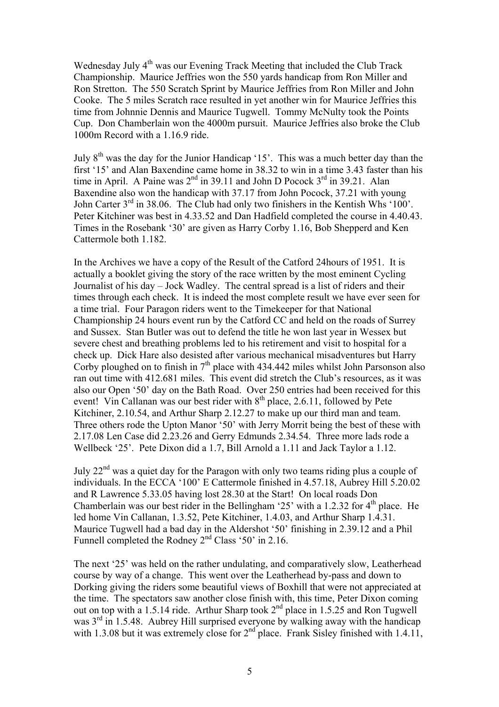Wednesday July  $4<sup>th</sup>$  was our Evening Track Meeting that included the Club Track Championship. Maurice Jeffries won the 550 yards handicap from Ron Miller and Ron Stretton. The 550 Scratch Sprint by Maurice Jeffries from Ron Miller and John Cooke. The 5 miles Scratch race resulted in yet another win for Maurice Jeffries this time from Johnnie Dennis and Maurice Tugwell. Tommy McNulty took the Points Cup. Don Chamberlain won the 4000m pursuit. Maurice Jeffries also broke the Club 1000m Record with a 1.16.9 ride.

July 8th was the day for the Junior Handicap '15'. This was a much better day than the first '15' and Alan Baxendine came home in 38.32 to win in a time 3.43 faster than his time in April. A Paine was  $2^{nd}$  in 39.11 and John D Pocock  $3^{rd}$  in 39.21. Alan Baxendine also won the handicap with 37.17 from John Pocock, 37.21 with young John Carter 3<sup>rd</sup> in 38.06. The Club had only two finishers in the Kentish Whs '100'. Peter Kitchiner was best in 4.33.52 and Dan Hadfield completed the course in 4.40.43. Times in the Rosebank '30' are given as Harry Corby 1.16, Bob Shepperd and Ken Cattermole both 1.182.

In the Archives we have a copy of the Result of the Catford 24hours of 1951. It is actually a booklet giving the story of the race written by the most eminent Cycling Journalist of his day – Jock Wadley. The central spread is a list of riders and their times through each check. It is indeed the most complete result we have ever seen for a time trial. Four Paragon riders went to the Timekeeper for that National Championship 24 hours event run by the Catford CC and held on the roads of Surrey and Sussex. Stan Butler was out to defend the title he won last year in Wessex but severe chest and breathing problems led to his retirement and visit to hospital for a check up. Dick Hare also desisted after various mechanical misadventures but Harry Corby ploughed on to finish in  $7<sup>th</sup>$  place with 434.442 miles whilst John Parsonson also ran out time with 412.681 miles. This event did stretch the Club's resources, as it was also our Open '50' day on the Bath Road. Over 250 entries had been received for this event! Vin Callanan was our best rider with  $8<sup>th</sup>$  place, 2.6.11, followed by Pete Kitchiner, 2.10.54, and Arthur Sharp 2.12.27 to make up our third man and team. Three others rode the Upton Manor '50' with Jerry Morrit being the best of these with 2.17.08 Len Case did 2.23.26 and Gerry Edmunds 2.34.54. Three more lads rode a Wellbeck '25'. Pete Dixon did a 1.7, Bill Arnold a 1.11 and Jack Taylor a 1.12.

July  $22<sup>nd</sup>$  was a quiet day for the Paragon with only two teams riding plus a couple of individuals. In the ECCA '100' E Cattermole finished in 4.57.18, Aubrey Hill 5.20.02 and R Lawrence 5.33.05 having lost 28.30 at the Start! On local roads Don Chamberlain was our best rider in the Bellingham '25' with a 1.2.32 for  $4<sup>th</sup>$  place. He led home Vin Callanan, 1.3.52, Pete Kitchiner, 1.4.03, and Arthur Sharp 1.4.31. Maurice Tugwell had a bad day in the Aldershot '50' finishing in 2.39.12 and a Phil Funnell completed the Rodney 2<sup>nd</sup> Class '50' in 2.16.

The next '25' was held on the rather undulating, and comparatively slow, Leatherhead course by way of a change. This went over the Leatherhead by-pass and down to Dorking giving the riders some beautiful views of Boxhill that were not appreciated at the time. The spectators saw another close finish with, this time, Peter Dixon coming out on top with a 1.5.14 ride. Arthur Sharp took  $2<sup>nd</sup>$  place in 1.5.25 and Ron Tugwell was  $3<sup>rd</sup>$  in 1.5.48. Aubrey Hill surprised everyone by walking away with the handicap with 1.3.08 but it was extremely close for  $2<sup>nd</sup>$  place. Frank Sisley finished with 1.4.11,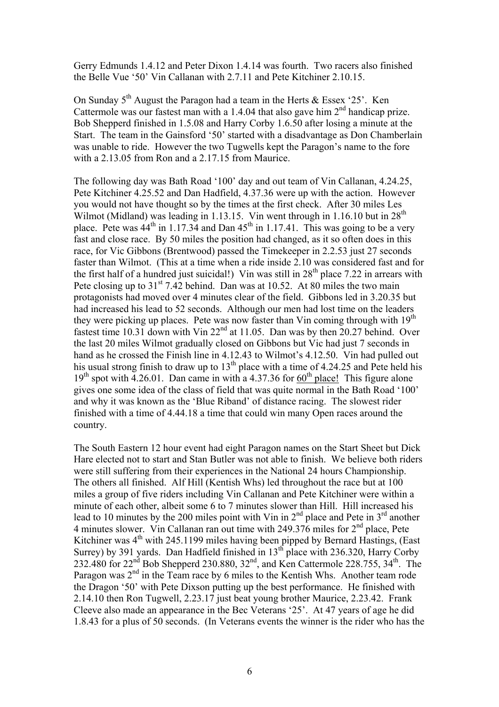Gerry Edmunds 1.4.12 and Peter Dixon 1.4.14 was fourth. Two racers also finished the Belle Vue '50' Vin Callanan with 2.7.11 and Pete Kitchiner 2.10.15.

On Sunday  $5<sup>th</sup>$  August the Paragon had a team in the Herts & Essex '25'. Ken Cattermole was our fastest man with a 1.4.04 that also gave him  $2<sup>nd</sup>$  handicap prize. Bob Shepperd finished in 1.5.08 and Harry Corby 1.6.50 after losing a minute at the Start. The team in the Gainsford '50' started with a disadvantage as Don Chamberlain was unable to ride. However the two Tugwells kept the Paragon's name to the fore with a 2.13.05 from Ron and a 2.17.15 from Maurice.

The following day was Bath Road '100' day and out team of Vin Callanan, 4.24.25, Pete Kitchiner 4.25.52 and Dan Hadfield, 4.37.36 were up with the action. However you would not have thought so by the times at the first check. After 30 miles Les Wilmot (Midland) was leading in 1.13.15. Vin went through in 1.16.10 but in  $28<sup>th</sup>$ place. Pete was  $44<sup>th</sup>$  in 1.17.34 and Dan  $45<sup>th</sup>$  in 1.17.41. This was going to be a very fast and close race. By 50 miles the position had changed, as it so often does in this race, for Vic Gibbons (Brentwood) passed the Timekeeper in 2.2.53 just 27 seconds faster than Wilmot. (This at a time when a ride inside 2.10 was considered fast and for the first half of a hundred just suicidal!) Vin was still in  $28<sup>th</sup>$  place 7.22 in arrears with Pete closing up to  $31<sup>st</sup>$  7.42 behind. Dan was at 10.52. At 80 miles the two main protagonists had moved over 4 minutes clear of the field. Gibbons led in 3.20.35 but had increased his lead to 52 seconds. Although our men had lost time on the leaders they were picking up places. Pete was now faster than Vin coming through with 19<sup>th</sup> fastest time 10.31 down with Vin  $22<sup>nd</sup>$  at 11.05. Dan was by then 20.27 behind. Over the last 20 miles Wilmot gradually closed on Gibbons but Vic had just 7 seconds in hand as he crossed the Finish line in 4.12.43 to Wilmot's 4.12.50. Vin had pulled out his usual strong finish to draw up to  $13<sup>th</sup>$  place with a time of 4.24.25 and Pete held his  $19<sup>th</sup>$  spot with 4.26.01. Dan came in with a 4.37.36 for 60<sup>th</sup> place! This figure alone gives one some idea of the class of field that was quite normal in the Bath Road '100' and why it was known as the 'Blue Riband' of distance racing. The slowest rider finished with a time of 4.44.18 a time that could win many Open races around the country.

The South Eastern 12 hour event had eight Paragon names on the Start Sheet but Dick Hare elected not to start and Stan Butler was not able to finish. We believe both riders were still suffering from their experiences in the National 24 hours Championship. The others all finished. Alf Hill (Kentish Whs) led throughout the race but at 100 miles a group of five riders including Vin Callanan and Pete Kitchiner were within a minute of each other, albeit some 6 to 7 minutes slower than Hill. Hill increased his lead to 10 minutes by the 200 miles point with Vin in  $2<sup>nd</sup>$  place and Pete in  $3<sup>rd</sup>$  another 4 minutes slower. Vin Callanan ran out time with  $249.376$  miles for  $2<sup>nd</sup>$  place. Pete Kitchiner was  $4<sup>th</sup>$  with 245.1199 miles having been pipped by Bernard Hastings, (East Surrey) by 391 yards. Dan Hadfield finished in  $13<sup>th</sup>$  place with 236.320, Harry Corby 232.480 for  $22^{nd}$  Bob Shepperd 230.880,  $32^{nd}$ , and Ken Cattermole 228.755,  $34^{th}$ . The Paragon was  $2<sup>nd</sup>$  in the Team race by 6 miles to the Kentish Whs. Another team rode the Dragon '50' with Pete Dixson putting up the best performance. He finished with 2.14.10 then Ron Tugwell, 2.23.17 just beat young brother Maurice, 2.23.42. Frank Cleeve also made an appearance in the Bec Veterans '25'. At 47 years of age he did 1.8.43 for a plus of 50 seconds. (In Veterans events the winner is the rider who has the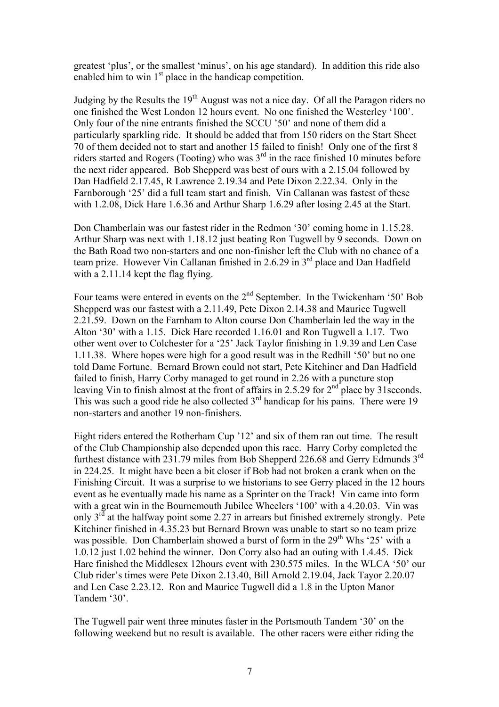greatest 'plus', or the smallest 'minus', on his age standard). In addition this ride also enabled him to win  $1<sup>st</sup>$  place in the handicap competition.

Judging by the Results the  $19<sup>th</sup>$  August was not a nice day. Of all the Paragon riders no one finished the West London 12 hours event. No one finished the Westerley '100'. Only four of the nine entrants finished the SCCU '50' and none of them did a particularly sparkling ride. It should be added that from 150 riders on the Start Sheet 70 of them decided not to start and another 15 failed to finish! Only one of the first 8 riders started and Rogers (Tooting) who was  $3<sup>rd</sup>$  in the race finished 10 minutes before the next rider appeared. Bob Shepperd was best of ours with a 2.15.04 followed by Dan Hadfield 2.17.45, R Lawrence 2.19.34 and Pete Dixon 2.22.34. Only in the Farnborough '25' did a full team start and finish. Vin Callanan was fastest of these with 1.2.08, Dick Hare 1.6.36 and Arthur Sharp 1.6.29 after losing 2.45 at the Start.

Don Chamberlain was our fastest rider in the Redmon '30' coming home in 1.15.28. Arthur Sharp was next with 1.18.12 just beating Ron Tugwell by 9 seconds. Down on the Bath Road two non-starters and one non-finisher left the Club with no chance of a team prize. However Vin Callanan finished in 2.6.29 in 3<sup>rd</sup> place and Dan Hadfield with a 2.11.14 kept the flag flying.

Four teams were entered in events on the 2<sup>nd</sup> September. In the Twickenham '50' Bob Shepperd was our fastest with a 2.11.49, Pete Dixon 2.14.38 and Maurice Tugwell 2.21.59. Down on the Farnham to Alton course Don Chamberlain led the way in the Alton '30' with a 1.15. Dick Hare recorded 1.16.01 and Ron Tugwell a 1.17. Two other went over to Colchester for a '25' Jack Taylor finishing in 1.9.39 and Len Case 1.11.38. Where hopes were high for a good result was in the Redhill '50' but no one told Dame Fortune. Bernard Brown could not start, Pete Kitchiner and Dan Hadfield failed to finish, Harry Corby managed to get round in 2.26 with a puncture stop leaving Vin to finish almost at the front of affairs in 2.5.29 for 2<sup>nd</sup> place by 31 seconds. This was such a good ride he also collected  $3<sup>rd</sup>$  handicap for his pains. There were 19 non-starters and another 19 non-finishers.

Eight riders entered the Rotherham Cup '12' and six of them ran out time. The result of the Club Championship also depended upon this race. Harry Corby completed the furthest distance with 231.79 miles from Bob Shepperd 226.68 and Gerry Edmunds 3rd in 224.25. It might have been a bit closer if Bob had not broken a crank when on the Finishing Circuit. It was a surprise to we historians to see Gerry placed in the 12 hours event as he eventually made his name as a Sprinter on the Track! Vin came into form with a great win in the Bournemouth Jubilee Wheelers '100' with a 4.20.03. Vin was only  $3<sup>rd</sup>$  at the halfway point some 2.27 in arrears but finished extremely strongly. Pete Kitchiner finished in 4.35.23 but Bernard Brown was unable to start so no team prize was possible. Don Chamberlain showed a burst of form in the  $29<sup>th</sup>$  Whs '25' with a 1.0.12 just 1.02 behind the winner. Don Corry also had an outing with 1.4.45. Dick Hare finished the Middlesex 12hours event with 230.575 miles. In the WLCA '50' our Club rider's times were Pete Dixon 2.13.40, Bill Arnold 2.19.04, Jack Tayor 2.20.07 and Len Case 2.23.12. Ron and Maurice Tugwell did a 1.8 in the Upton Manor Tandem '30'.

The Tugwell pair went three minutes faster in the Portsmouth Tandem '30' on the following weekend but no result is available. The other racers were either riding the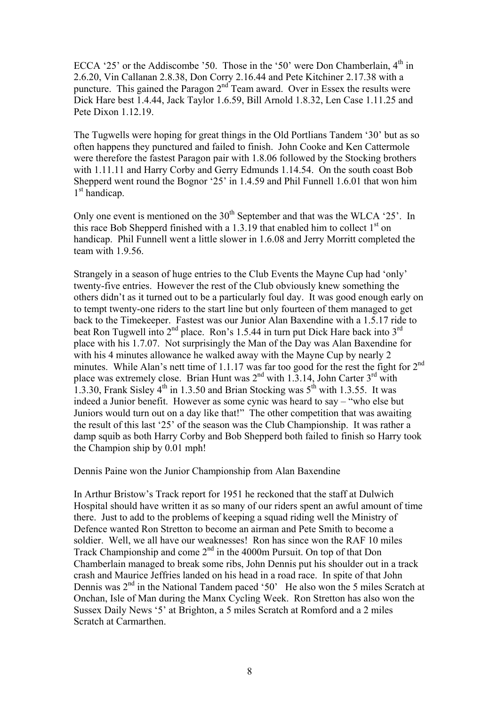ECCA '25' or the Addiscombe '50. Those in the '50' were Don Chamberlain,  $4<sup>th</sup>$  in 2.6.20, Vin Callanan 2.8.38, Don Corry 2.16.44 and Pete Kitchiner 2.17.38 with a puncture. This gained the Paragon  $2<sup>nd</sup>$  Team award. Over in Essex the results were Dick Hare best 1.4.44, Jack Taylor 1.6.59, Bill Arnold 1.8.32, Len Case 1.11.25 and Pete Dixon 1.12.19.

The Tugwells were hoping for great things in the Old Portlians Tandem '30' but as so often happens they punctured and failed to finish. John Cooke and Ken Cattermole were therefore the fastest Paragon pair with 1.8.06 followed by the Stocking brothers with 1.11.11 and Harry Corby and Gerry Edmunds 1.14.54. On the south coast Bob Shepperd went round the Bognor '25' in 1.4.59 and Phil Funnell 1.6.01 that won him 1<sup>st</sup> handicap.

Only one event is mentioned on the  $30<sup>th</sup>$  September and that was the WLCA '25'. In this race Bob Shepperd finished with a 1.3.19 that enabled him to collect  $1<sup>st</sup>$  on handicap. Phil Funnell went a little slower in 1.6.08 and Jerry Morritt completed the team with 1.9.56.

Strangely in a season of huge entries to the Club Events the Mayne Cup had 'only' twenty-five entries. However the rest of the Club obviously knew something the others didn't as it turned out to be a particularly foul day. It was good enough early on to tempt twenty-one riders to the start line but only fourteen of them managed to get back to the Timekeeper. Fastest was our Junior Alan Baxendine with a 1.5.17 ride to beat Ron Tugwell into  $2^{nd}$  place. Ron's 1.5.44 in turn put Dick Hare back into  $3^{rd}$ place with his 1.7.07. Not surprisingly the Man of the Day was Alan Baxendine for with his 4 minutes allowance he walked away with the Mayne Cup by nearly 2 minutes. While Alan's nett time of 1.1.17 was far too good for the rest the fight for 2<sup>nd</sup> place was extremely close. Brian Hunt was  $2<sup>nd</sup>$  with 1.3.14, John Carter  $3<sup>rd</sup>$  with 1.3.30, Frank Sisley  $4^{th}$  in 1.3.50 and Brian Stocking was  $5^{th}$  with 1.3.55. It was indeed a Junior benefit. However as some cynic was heard to say – "who else but Juniors would turn out on a day like that!" The other competition that was awaiting the result of this last '25' of the season was the Club Championship. It was rather a damp squib as both Harry Corby and Bob Shepperd both failed to finish so Harry took the Champion ship by 0.01 mph!

Dennis Paine won the Junior Championship from Alan Baxendine

In Arthur Bristow's Track report for 1951 he reckoned that the staff at Dulwich Hospital should have written it as so many of our riders spent an awful amount of time there. Just to add to the problems of keeping a squad riding well the Ministry of Defence wanted Ron Stretton to become an airman and Pete Smith to become a soldier. Well, we all have our weaknesses! Ron has since won the RAF 10 miles Track Championship and come  $2<sup>nd</sup>$  in the 4000m Pursuit. On top of that Don Chamberlain managed to break some ribs, John Dennis put his shoulder out in a track crash and Maurice Jeffries landed on his head in a road race. In spite of that John Dennis was  $2<sup>nd</sup>$  in the National Tandem paced '50' He also won the 5 miles Scratch at Onchan, Isle of Man during the Manx Cycling Week. Ron Stretton has also won the Sussex Daily News '5' at Brighton, a 5 miles Scratch at Romford and a 2 miles Scratch at Carmarthen.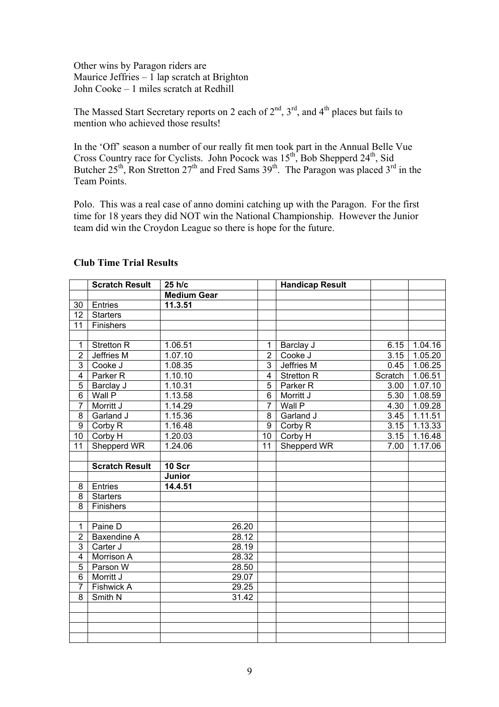Other wins by Paragon riders are Maurice Jeffries – 1 lap scratch at Brighton John Cooke – 1 miles scratch at Redhill

The Massed Start Secretary reports on 2 each of  $2<sup>nd</sup>$ ,  $3<sup>rd</sup>$ , and  $4<sup>th</sup>$  places but fails to mention who achieved those results!

In the 'Off' season a number of our really fit men took part in the Annual Belle Vue Cross Country race for Cyclists. John Pocock was  $15^{th}$ , Bob Shepperd  $24^{th}$ , Sid Butcher 25<sup>th</sup>, Ron Stretton 27<sup>th</sup> and Fred Sams 39<sup>th</sup>. The Paragon was placed 3<sup>rd</sup> in the Team Points.

Polo. This was a real case of anno domini catching up with the Paragon. For the first time for 18 years they did NOT win the National Championship. However the Junior team did win the Croydon League so there is hope for the future.

|                         | <b>Scratch Result</b> | 25 h/c             |                         | <b>Handicap Result</b> |         |         |
|-------------------------|-----------------------|--------------------|-------------------------|------------------------|---------|---------|
|                         |                       | <b>Medium Gear</b> |                         |                        |         |         |
| 30                      | Entries               | 11.3.51            |                         |                        |         |         |
| 12                      | <b>Starters</b>       |                    |                         |                        |         |         |
| 11                      | Finishers             |                    |                         |                        |         |         |
|                         |                       |                    |                         |                        |         |         |
| $\mathbf{1}$            | <b>Stretton R</b>     | 1.06.51            | 1                       | Barclay J              | 6.15    | 1.04.16 |
| $\overline{2}$          | Jeffries M            | 1.07.10            | $\overline{2}$          | Cooke J                | 3.15    | 1.05.20 |
| 3                       | Cooke J               | 1.08.35            | $\overline{3}$          | <b>Jeffries M</b>      | 0.45    | 1.06.25 |
| $\overline{\mathbf{4}}$ | Parker <sub>R</sub>   | 1.10.10            | $\overline{\mathbf{4}}$ | <b>Stretton R</b>      | Scratch | 1.06.51 |
| 5                       | Barclay J             | 1.10.31            | 5                       | Parker <sub>R</sub>    | 3.00    | 1.07.10 |
| $\overline{6}$          | Wall P                | 1.13.58            | $\overline{6}$          | Morritt J              | 5.30    | 1.08.59 |
| $\overline{7}$          | Morritt J             | 1.14.29            | $\overline{7}$          | Wall P                 | 4.30    | 1.09.28 |
| 8                       | Garland J             | 1.15.36            | 8                       | Garland J              | 3.45    | 1.11.51 |
| 9                       | Corby R               | 1.16.48            | 9                       | Corby R                | 3.15    | 1.13.33 |
| 10                      | Corby H               | 1.20.03            | 10 <sup>1</sup>         | Corby H                | 3.15    | 1.16.48 |
| 11                      | Shepperd WR           | 1.24.06            | 11                      | Shepperd WR            | 7.00    | 1.17.06 |
|                         |                       |                    |                         |                        |         |         |
|                         | <b>Scratch Result</b> | 10 Scr             |                         |                        |         |         |
|                         |                       | Junior             |                         |                        |         |         |
| 8                       | Entries               | 14.4.51            |                         |                        |         |         |
| 8                       | <b>Starters</b>       |                    |                         |                        |         |         |
| 8                       | Finishers             |                    |                         |                        |         |         |
|                         |                       |                    |                         |                        |         |         |
| 1                       | Paine D               | 26.20              |                         |                        |         |         |
| $\overline{2}$          | Baxendine A           | 28.12              |                         |                        |         |         |
| 3                       | Carter J              | 28.19              |                         |                        |         |         |
| $\overline{\mathbf{4}}$ | Morrison A            | 28.32              |                         |                        |         |         |
| $\overline{5}$          | Parson W              | 28.50              |                         |                        |         |         |
| $6\phantom{1}$          | Morritt J             | 29.07              |                         |                        |         |         |
| $\overline{7}$          | Fishwick A            | 29.25              |                         |                        |         |         |
| 8                       | Smith N               | 31.42              |                         |                        |         |         |
|                         |                       |                    |                         |                        |         |         |
|                         |                       |                    |                         |                        |         |         |
|                         |                       |                    |                         |                        |         |         |
|                         |                       |                    |                         |                        |         |         |

## **Club Time Trial Results**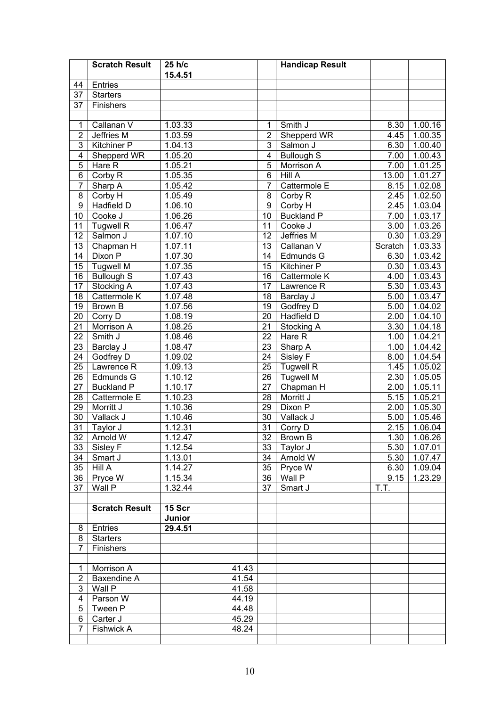|                         | <b>Scratch Result</b> | 25 h/c  |                 | <b>Handicap Result</b> |                   |                |
|-------------------------|-----------------------|---------|-----------------|------------------------|-------------------|----------------|
|                         |                       | 15.4.51 |                 |                        |                   |                |
| 44                      | Entries               |         |                 |                        |                   |                |
| $\overline{37}$         | <b>Starters</b>       |         |                 |                        |                   |                |
| 37                      | Finishers             |         |                 |                        |                   |                |
|                         |                       |         |                 |                        |                   |                |
| 1                       | Callanan V            | 1.03.33 | $\mathbf{1}$    | Smith J                | 8.30              | 1.00.16        |
| $\overline{2}$          | Jeffries M            | 1.03.59 | $\overline{2}$  | Shepperd WR            | 4.45              | 1.00.35        |
| $\overline{3}$          | <b>Kitchiner P</b>    | 1.04.13 | $\overline{3}$  | Salmon J               | 6.30              | 1.00.40        |
| $\overline{\mathbf{4}}$ | Shepperd WR           | 1.05.20 | $\overline{4}$  | <b>Bullough S</b>      | 7.00              | 1.00.43        |
| $\overline{5}$          | Hare R                | 1.05.21 | $\overline{5}$  | Morrison A             | 7.00              | 1.01.25        |
| 6                       | Corby R               | 1.05.35 | $\overline{6}$  | HillA                  | 13.00             | 1.01.27        |
| $\overline{7}$          | Sharp A               | 1.05.42 | $\overline{7}$  | Cattermole E           | 8.15              | 1.02.08        |
| $\overline{8}$          | Corby H               | 1.05.49 | $\overline{8}$  | Corby R                | 2.45              | 1.02.50        |
| $\overline{9}$          | Hadfield D            | 1.06.10 | $\overline{9}$  | Corby H                | 2.45              | 1.03.04        |
| 10                      | Cooke J               | 1.06.26 | $\overline{10}$ | <b>Buckland P</b>      | 7.00              | 1.03.17        |
| 11                      | <b>Tugwell R</b>      | 1.06.47 | $\overline{11}$ | Cooke J                | 3.00              | 1.03.26        |
| 12                      | Salmon J              | 1.07.10 | $\overline{12}$ | Jeffries M             | 0.30              | 1.03.29        |
| 13                      | Chapman H             | 1.07.11 | $\overline{13}$ | Callanan V             | Scratch           | 1.03.33        |
| 14                      | Dixon P               | 1.07.30 | 14              | Edmunds G              | 6.30              | 1.03.42        |
| 15                      | <b>Tugwell M</b>      | 1.07.35 | $\overline{15}$ | Kitchiner P            | 0.30              | 1.03.43        |
| 16                      | <b>Bullough S</b>     | 1.07.43 | $\overline{16}$ | Cattermole K           | 4.00              | 1.03.43        |
| 17                      | Stocking A            | 1.07.43 | $\overline{17}$ | Lawrence R             | 5.30              | 1.03.43        |
| 18                      | Cattermole K          | 1.07.48 | 18              | Barclay J              | $\overline{5.00}$ | 1.03.47        |
| 19                      | Brown B               | 1.07.56 | $\overline{19}$ | Godfrey D              | 5.00              | 1.04.02        |
| 20                      | Corry D               | 1.08.19 | $\overline{20}$ | Hadfield D             | 2.00              | 1.04.10        |
| 21                      | Morrison A            | 1.08.25 | $\overline{21}$ | Stocking A             | 3.30              | 1.04.18        |
| 22                      | Smith J               | 1.08.46 | $\overline{22}$ | Hare R                 | 1.00              | 1.04.21        |
| 23                      | Barclay J             | 1.08.47 | $\overline{23}$ | Sharp A                | 1.00              | 1.04.42        |
| 24                      | Godfrey D             | 1.09.02 | $\overline{24}$ | Sisley F               | 8.00              | 1.04.54        |
| $\overline{25}$         | Lawrence R            | 1.09.13 | $\overline{25}$ | <b>Tugwell R</b>       | 1.45              | 1.05.02        |
| 26                      | Edmunds G             | 1.10.12 | $\overline{26}$ | <b>Tugwell M</b>       | 2.30              | 1.05.05        |
| 27                      | <b>Buckland P</b>     | 1.10.17 | $\overline{27}$ | Chapman H              | 2.00              | 1.05.11        |
| 28                      | Cattermole E          | 1.10.23 | $\overline{28}$ | Morritt J              | 5.15              | 1.05.21        |
| 29                      | Morritt J             | 1.10.36 | 29              | Dixon P                | 2.00              | 1.05.30        |
| $\overline{30}$         | Vallack J             | 1.10.46 | $\overline{30}$ | Vallack J              | 5.00              | 1.05.46        |
| 31                      | Taylor J              | 1.12.31 | $\overline{31}$ | Corry D                | 2.15              | 1.06.04        |
|                         | 32 Arnold W           | 1.12.47 |                 | 32 Brown B             |                   | $1.30$ 1.06.26 |
| 33                      | Sisley F              | 1.12.54 | 33 <sup>1</sup> | Taylor J               | 5.30              | 1.07.01        |
| 34                      | Smart J               | 1.13.01 | 34              | Arnold W               | 5.30              | 1.07.47        |
| 35                      | Hill A                | 1.14.27 | 35              | Pryce W                | 6.30              | 1.09.04        |
| 36                      | Pryce W               | 1.15.34 | 36              | Wall P                 | 9.15              | 1.23.29        |
| 37                      | Wall P                | 1.32.44 | 37              | Smart J                | T.T.              |                |
|                         |                       |         |                 |                        |                   |                |
|                         | <b>Scratch Result</b> | 15 Scr  |                 |                        |                   |                |
|                         |                       | Junior  |                 |                        |                   |                |
| 8                       | Entries               | 29.4.51 |                 |                        |                   |                |
| 8                       | <b>Starters</b>       |         |                 |                        |                   |                |
| $\overline{7}$          | Finishers             |         |                 |                        |                   |                |
|                         |                       |         |                 |                        |                   |                |
| 1                       | Morrison A            | 41.43   |                 |                        |                   |                |
| $\overline{c}$          | Baxendine A           | 41.54   |                 |                        |                   |                |
| 3                       | Wall P                | 41.58   |                 |                        |                   |                |
| 4                       | Parson W              | 44.19   |                 |                        |                   |                |
| 5                       | Tween P               | 44.48   |                 |                        |                   |                |
| 6<br>$\overline{7}$     | Carter J              | 45.29   |                 |                        |                   |                |
|                         | Fishwick A            | 48.24   |                 |                        |                   |                |
|                         |                       |         |                 |                        |                   |                |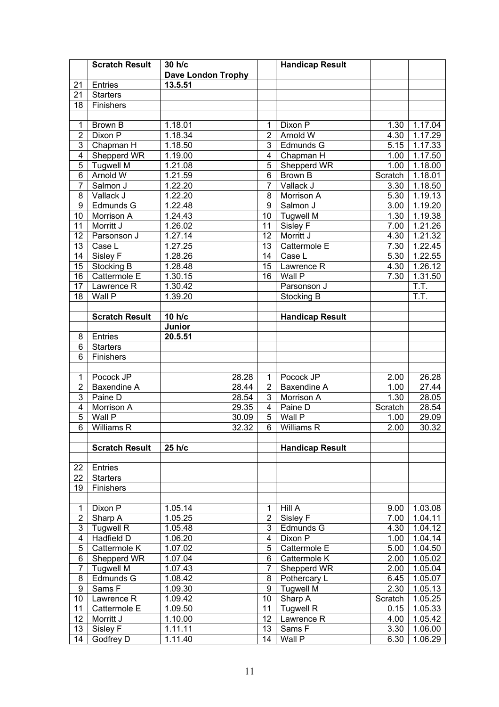|                         | <b>Scratch Result</b> | 30 h/c                    |                 | <b>Handicap Result</b> |                   |         |
|-------------------------|-----------------------|---------------------------|-----------------|------------------------|-------------------|---------|
|                         |                       | <b>Dave London Trophy</b> |                 |                        |                   |         |
| 21                      | Entries               | 13.5.51                   |                 |                        |                   |         |
| 21                      | <b>Starters</b>       |                           |                 |                        |                   |         |
| 18                      | Finishers             |                           |                 |                        |                   |         |
|                         |                       |                           |                 |                        |                   |         |
| 1                       | Brown B               | 1.18.01                   | 1               | Dixon P                | 1.30              | 1.17.04 |
| $\overline{2}$          | Dixon P               | 1.18.34                   | $\overline{2}$  | Arnold W               | 4.30              | 1.17.29 |
| $\overline{3}$          | Chapman H             | 1.18.50                   | 3               | Edmunds G              | 5.15              | 1.17.33 |
| $\overline{4}$          | Shepperd WR           | 1.19.00                   | $\overline{4}$  | Chapman H              | 1.00              | 1.17.50 |
| 5                       | <b>Tugwell M</b>      | 1.21.08                   | 5               | Shepperd WR            | 1.00              | 1.18.00 |
| $\overline{6}$          | <b>Arnold W</b>       | 1.21.59                   | $\overline{6}$  | Brown B                | Scratch           | 1.18.01 |
| $\overline{7}$          | Salmon J              | 1.22.20                   | $\overline{7}$  | Vallack J              | 3.30              | 1.18.50 |
| 8                       | Vallack J             | 1.22.20                   | 8               | Morrison A             | 5.30              | 1.19.13 |
| 9                       | Edmunds G             | 1.22.48                   | $\overline{9}$  | Salmon J               | 3.00              | 1.19.20 |
| 10                      | Morrison A            | 1.24.43                   | 10              | <b>Tugwell M</b>       | 1.30              | 1.19.38 |
| 11                      | Morritt J             | 1.26.02                   | $\overline{11}$ | Sisley F               | 7.00              | 1.21.26 |
| 12                      | Parsonson J           | 1.27.14                   | $\overline{12}$ | Morritt J              | $4.\overline{30}$ | 1.21.32 |
| 13                      | Case L                | 1.27.25                   | $\overline{13}$ | Cattermole E           | 7.30              | 1.22.45 |
| 14                      | Sisley F              | 1.28.26                   | 14              | Case L                 | 5.30              | 1.22.55 |
| 15                      | Stocking B            | 1.28.48                   | $\overline{15}$ | Lawrence R             | 4.30              | 1.26.12 |
| 16                      | Cattermole E          | 1.30.15                   | $\overline{16}$ | Wall P                 | 7.30              |         |
|                         |                       |                           |                 |                        |                   | 1.31.50 |
| 17                      | Lawrence R            | 1.30.42                   |                 | Parsonson J            |                   | T.T.    |
| 18                      | Wall P                | 1.39.20                   |                 | <b>Stocking B</b>      |                   | T.T.    |
|                         |                       |                           |                 |                        |                   |         |
|                         | <b>Scratch Result</b> | 10 h/c                    |                 | <b>Handicap Result</b> |                   |         |
|                         |                       | Junior                    |                 |                        |                   |         |
| 8                       | Entries               | 20.5.51                   |                 |                        |                   |         |
| 6                       | <b>Starters</b>       |                           |                 |                        |                   |         |
| 6                       | Finishers             |                           |                 |                        |                   |         |
|                         |                       |                           |                 |                        |                   |         |
| 1                       | Pocock JP             | 28.28                     | 1               | Pocock JP              | 2.00              | 26.28   |
| $\overline{2}$          | Baxendine A           | 28.44                     | $\overline{2}$  | Baxendine A            | 1.00              | 27.44   |
| 3                       | Paine D               | 28.54                     | $\overline{3}$  | Morrison A             | 1.30              | 28.05   |
| $\overline{4}$          | Morrison A            | 29.35                     | $\overline{4}$  | Paine D                | Scratch           | 28.54   |
| $\overline{5}$          | Wall P                | 30.09                     | 5               | Wall P                 | 1.00              | 29.09   |
| $\overline{6}$          | <b>Williams R</b>     | 32.32                     | $\overline{6}$  | Williams R             | 2.00              | 30.32   |
|                         |                       |                           |                 |                        |                   |         |
|                         | <b>Scratch Result</b> | 25 h/c                    |                 | <b>Handicap Result</b> |                   |         |
|                         |                       |                           |                 |                        |                   |         |
| 22                      | Entries               |                           |                 |                        |                   |         |
| 22                      | <b>Starters</b>       |                           |                 |                        |                   |         |
| 19                      | Finishers             |                           |                 |                        |                   |         |
|                         |                       |                           |                 |                        |                   |         |
| $\mathbf 1$             | Dixon P               | 1.05.14                   | 1               | Hill A                 | 9.00              | 1.03.08 |
| $\overline{c}$          | Sharp A               | 1.05.25                   | $\overline{2}$  | Sisley F               | 7.00              | 1.04.11 |
| 3                       | <b>Tugwell R</b>      | 1.05.48                   | $\overline{3}$  | Edmunds G              | 4.30              | 1.04.12 |
| $\overline{\mathbf{4}}$ | <b>Hadfield D</b>     | 1.06.20                   | $\overline{4}$  | Dixon P                | 1.00              | 1.04.14 |
| 5                       | Cattermole K          | 1.07.02                   | 5               | Cattermole E           | 5.00              | 1.04.50 |
| 6                       | Shepperd WR           | 1.07.04                   | 6               | Cattermole K           | 2.00              | 1.05.02 |
| 7                       | <b>Tugwell M</b>      | 1.07.43                   | $\overline{7}$  | Shepperd WR            | 2.00              | 1.05.04 |
| 8                       | Edmunds G             | 1.08.42                   | 8               | Pothercary L           | 6.45              | 1.05.07 |
| 9                       | Sams F                | 1.09.30                   | 9               | <b>Tugwell M</b>       | 2.30              | 1.05.13 |
| 10                      | Lawrence R            | 1.09.42                   | $\overline{10}$ | Sharp A                | Scratch           | 1.05.25 |
| 11                      | Cattermole E          | 1.09.50                   | 11              | <b>Tugwell R</b>       | 0.15              | 1.05.33 |
| 12                      | Morritt J             | 1.10.00                   | 12              | Lawrence R             | 4.00              | 1.05.42 |
| 13                      | Sisley F              | 1.11.11                   | 13              | Sams F                 | 3.30              | 1.06.00 |
| 14                      | Godfrey D             | 1.11.40                   | 14              | Wall P                 | 6.30              | 1.06.29 |
|                         |                       |                           |                 |                        |                   |         |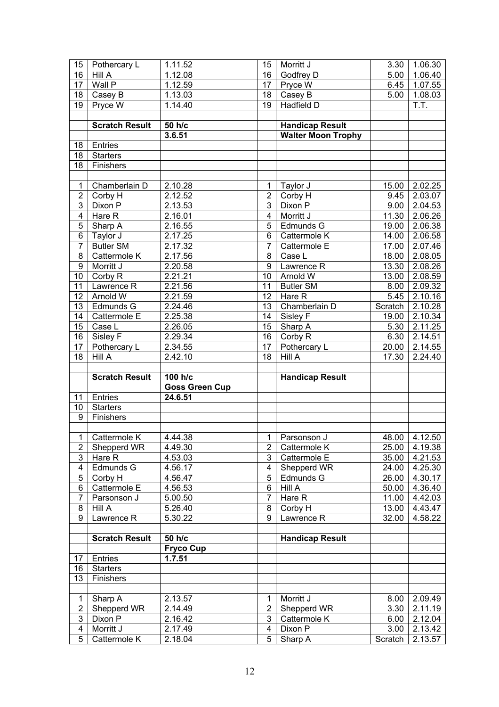| 15              | Pothercary L              | 1.11.52               | 15                      | Morritt J                 | 3.30            | 1.06.30            |
|-----------------|---------------------------|-----------------------|-------------------------|---------------------------|-----------------|--------------------|
| 16              | Hill A                    | 1.12.08               | 16                      | Godfrey D                 | 5.00            | 1.06.40            |
| 17              | Wall P                    | 1.12.59               | 17                      | Pryce W                   | 6.45            | 1.07.55            |
| 18              | Casey B                   | 1.13.03               | 18                      | Casey B                   | 5.00            | 1.08.03            |
| 19              | Pryce W                   | 1.14.40               | 19                      | <b>Hadfield D</b>         |                 | Ī.T.               |
|                 |                           |                       |                         |                           |                 |                    |
|                 | <b>Scratch Result</b>     | 50 h/c                |                         | <b>Handicap Result</b>    |                 |                    |
|                 |                           | 3.6.51                |                         | <b>Walter Moon Trophy</b> |                 |                    |
|                 | Entries                   |                       |                         |                           |                 |                    |
| 18              |                           |                       |                         |                           |                 |                    |
| 18              | <b>Starters</b>           |                       |                         |                           |                 |                    |
| 18              | Finishers                 |                       |                         |                           |                 |                    |
|                 |                           |                       |                         |                           |                 |                    |
| $\mathbf{1}$    | Chamberlain D             | 2.10.28               | 1                       | Taylor J                  | 15.00           | 2.02.25            |
| 2               | Corby H                   | 2.12.52               | $\overline{2}$          | Corby H                   | 9.45            | 2.03.07            |
| $\overline{3}$  | Dixon P                   | 2.13.53               | $\overline{3}$          | Dixon P                   | 9.00            | 2.04.53            |
| $\overline{4}$  | Hare R                    | 2.16.01               | $\overline{\mathbf{4}}$ | Morritt J                 | 11.30           | 2.06.26            |
| $\overline{5}$  | Sharp A                   | 2.16.55               | $\overline{5}$          | Edmunds G                 | 19.00           | 2.06.38            |
| $\overline{6}$  | Taylor J                  | 2.17.25               | 6                       | Cattermole K              | 14.00           | 2.06.58            |
| $\overline{7}$  | <b>Butler SM</b>          | 2.17.32               | $\overline{7}$          | Cattermole E              | 17.00           | 2.07.46            |
| $\overline{8}$  | Cattermole K              | 2.17.56               | 8                       | Case L                    | 18.00           | 2.08.05            |
| $\overline{9}$  | Morritt J                 | 2.20.58               | $\overline{9}$          | Lawrence R                | 13.30           | 2.08.26            |
| 10              | Corby R                   | 2.21.21               | $\overline{10}$         | Arnold W                  | 13.00           | 2.08.59            |
| 11              | Lawrence R                | 2.21.56               | 11                      | <b>Butler SM</b>          | 8.00            | 2.09.32            |
| $\overline{12}$ | Arnold W                  | 2.21.59               | 12                      | Hare R                    | 5.45            | 2.10.16            |
| 13              | Edmunds G                 | 2.24.46               | 13                      | Chamberlain D             | Scratch         | 2.10.28            |
| 14              | Cattermole E              | 2.25.38               | 14                      | Sisley F                  | 19.00           | 2.10.34            |
| 15              |                           |                       | 15                      |                           |                 |                    |
|                 | Case L                    | 2.26.05               |                         | Sharp A                   | 5.30            | 2.11.25            |
| 16              | Sisley $\overline{F}$     | 2.29.34               | $\overline{16}$         | Corby R                   | 6.30            | 2.14.51            |
| 17              | Pothercary L              | 2.34.55               | 17                      | Pothercary L              | 20.00           | 2.14.55            |
|                 |                           |                       |                         |                           |                 |                    |
| 18              | Hill A                    | 2.42.10               | 18                      | <b>Hill A</b>             | 17.30           | 2.24.40            |
|                 |                           |                       |                         |                           |                 |                    |
|                 | <b>Scratch Result</b>     | 100 h/c               |                         | <b>Handicap Result</b>    |                 |                    |
|                 |                           | <b>Goss Green Cup</b> |                         |                           |                 |                    |
| 11              | Entries                   | 24.6.51               |                         |                           |                 |                    |
| 10              | <b>Starters</b>           |                       |                         |                           |                 |                    |
| 9               | Finishers                 |                       |                         |                           |                 |                    |
|                 |                           |                       |                         |                           |                 |                    |
| $\overline{1}$  | Cattermole K              | 4.44.38               |                         | 1 Parsonson J             |                 | 48.00 4.12.50      |
| 2               | Shepperd WR               | 4.49.30               | $\overline{2}$          | Cattermole K              | 25.00           | 4.19.38            |
| $\overline{3}$  | Hare R                    | 4.53.03               | 3                       | Cattermole E              | 35.00           | 4.21.53            |
| 4               | Edmunds G                 | 4.56.17               | 4                       | Shepperd WR               | 24.00           | 4.25.30            |
| 5               | Corby H                   | 4.56.47               | 5                       | Edmunds G                 | 26.00           | 4.30.17            |
|                 | Cattermole E              | 4.56.53               | 6                       | Hill A                    | 50.00           |                    |
| 6               |                           |                       | $\overline{7}$          |                           |                 | 4.36.40            |
| $\overline{7}$  | Parsonson J               | 5.00.50               |                         | Hare R                    | 11.00           | 4.42.03            |
| 8               | Hill A                    | 5.26.40               | 8                       | Corby H                   | 13.00           | 4.43.47            |
| 9               | Lawrence R                | 5.30.22               | 9                       | Lawrence R                | 32.00           | 4.58.22            |
|                 |                           |                       |                         |                           |                 |                    |
|                 | <b>Scratch Result</b>     | 50 h/c                |                         | <b>Handicap Result</b>    |                 |                    |
|                 |                           | <b>Fryco Cup</b>      |                         |                           |                 |                    |
| 17              | Entries                   | 1.7.51                |                         |                           |                 |                    |
| 16              | <b>Starters</b>           |                       |                         |                           |                 |                    |
| 13              | Finishers                 |                       |                         |                           |                 |                    |
|                 |                           |                       |                         |                           |                 |                    |
| 1               | Sharp A                   | 2.13.57               | 1                       | Morritt J                 | 8.00            | 2.09.49            |
| $\overline{c}$  | Shepperd WR               | 2.14.49               | $\overline{2}$          | Shepperd WR               | 3.30            | 2.11.19            |
| $\overline{3}$  | Dixon P                   | 2.16.42               | $\overline{3}$          | Cattermole K              | 6.00            | 2.12.04            |
| 4<br>5          | Morritt J<br>Cattermole K | 2.17.49<br>2.18.04    | 4<br>5                  | Dixon P<br>Sharp A        | 3.00<br>Scratch | 2.13.42<br>2.13.57 |